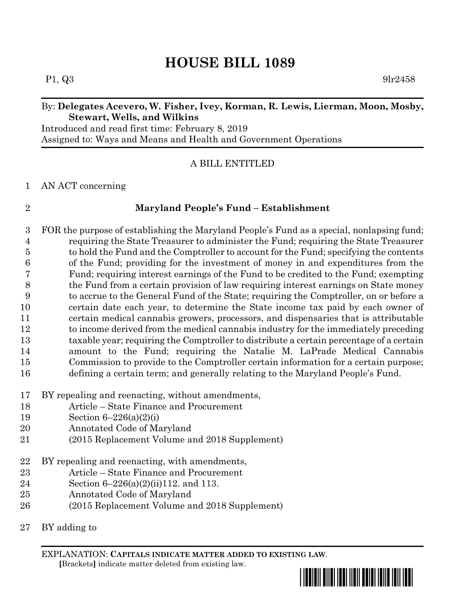# **HOUSE BILL 1089**

 $P1, Q3$  9lr2458

### By: **Delegates Acevero, W. Fisher, Ivey, Korman, R. Lewis, Lierman, Moon, Mosby, Stewart, Wells, and Wilkins**

Introduced and read first time: February 8, 2019 Assigned to: Ways and Means and Health and Government Operations

### A BILL ENTITLED

#### AN ACT concerning

# **Maryland People's Fund – Establishment**

 FOR the purpose of establishing the Maryland People's Fund as a special, nonlapsing fund; requiring the State Treasurer to administer the Fund; requiring the State Treasurer to hold the Fund and the Comptroller to account for the Fund; specifying the contents of the Fund; providing for the investment of money in and expenditures from the Fund; requiring interest earnings of the Fund to be credited to the Fund; exempting the Fund from a certain provision of law requiring interest earnings on State money to accrue to the General Fund of the State; requiring the Comptroller, on or before a certain date each year, to determine the State income tax paid by each owner of certain medical cannabis growers, processors, and dispensaries that is attributable to income derived from the medical cannabis industry for the immediately preceding taxable year; requiring the Comptroller to distribute a certain percentage of a certain amount to the Fund; requiring the Natalie M. LaPrade Medical Cannabis Commission to provide to the Comptroller certain information for a certain purpose; defining a certain term; and generally relating to the Maryland People's Fund.

- BY repealing and reenacting, without amendments,
- Article State Finance and Procurement
- Section 6–226(a)(2)(i)
- Annotated Code of Maryland
- (2015 Replacement Volume and 2018 Supplement)
- BY repealing and reenacting, with amendments,
- Article State Finance and Procurement
- Section 6–226(a)(2)(ii)112. and 113.
- Annotated Code of Maryland
- (2015 Replacement Volume and 2018 Supplement)
- BY adding to

EXPLANATION: **CAPITALS INDICATE MATTER ADDED TO EXISTING LAW**.  **[**Brackets**]** indicate matter deleted from existing law.

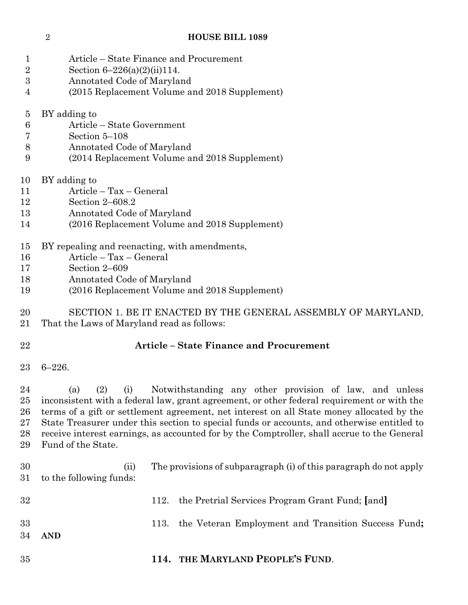#### **HOUSE BILL 1089**

- Article State Finance and Procurement
- Section 6–226(a)(2)(ii)114.
- Annotated Code of Maryland
- (2015 Replacement Volume and 2018 Supplement)
- BY adding to
- Article State Government
- Section 5–108
- Annotated Code of Maryland
- (2014 Replacement Volume and 2018 Supplement)
- BY adding to
- Article Tax General
- Section 2–608.2
- Annotated Code of Maryland
- (2016 Replacement Volume and 2018 Supplement)
- BY repealing and reenacting, with amendments,
- Article Tax General
- Section 2–609
- Annotated Code of Maryland
- (2016 Replacement Volume and 2018 Supplement)
- SECTION 1. BE IT ENACTED BY THE GENERAL ASSEMBLY OF MARYLAND,
- That the Laws of Maryland read as follows:
- 

# **Article – State Finance and Procurement**

6–226.

 (a) (2) (i) Notwithstanding any other provision of law, and unless inconsistent with a federal law, grant agreement, or other federal requirement or with the terms of a gift or settlement agreement, net interest on all State money allocated by the State Treasurer under this section to special funds or accounts, and otherwise entitled to receive interest earnings, as accounted for by the Comptroller, shall accrue to the General Fund of the State.

- (ii) The provisions of subparagraph (i) of this paragraph do not apply to the following funds: 112. the Pretrial Services Program Grant Fund; **[**and**]** 113. the Veteran Employment and Transition Success Fund**; AND**
- **114. THE MARYLAND PEOPLE'S FUND**.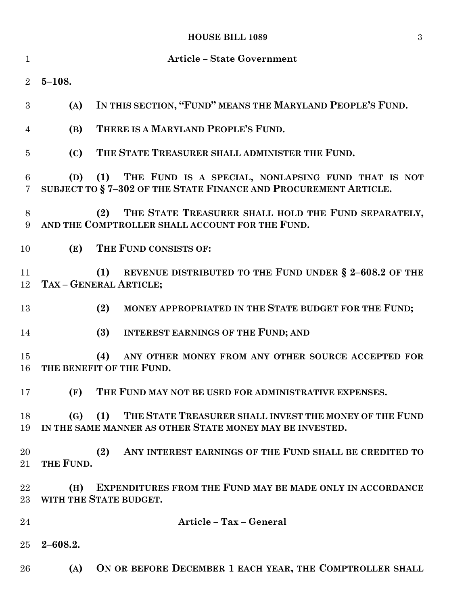# **HOUSE BILL 1089** 3

| $\mathbf{1}$        | <b>Article - State Government</b> |                                                                                                                               |
|---------------------|-----------------------------------|-------------------------------------------------------------------------------------------------------------------------------|
| $\overline{2}$      | $5 - 108.$                        |                                                                                                                               |
| 3                   | (A)                               | IN THIS SECTION, "FUND" MEANS THE MARYLAND PEOPLE'S FUND.                                                                     |
| $\overline{4}$      | (B)                               | THERE IS A MARYLAND PEOPLE'S FUND.                                                                                            |
| $\overline{5}$      | (C)                               | THE STATE TREASURER SHALL ADMINISTER THE FUND.                                                                                |
| 6<br>$\overline{7}$ |                                   | (D) (1) THE FUND IS A SPECIAL, NONLAPSING FUND THAT IS NOT<br>SUBJECT TO §7-302 OF THE STATE FINANCE AND PROCUREMENT ARTICLE. |
| 8<br>9              |                                   | THE STATE TREASURER SHALL HOLD THE FUND SEPARATELY,<br>(2)<br>AND THE COMPTROLLER SHALL ACCOUNT FOR THE FUND.                 |
| 10                  | (E)                               | THE FUND CONSISTS OF:                                                                                                         |
| 11<br>12            |                                   | REVENUE DISTRIBUTED TO THE FUND UNDER § 2-608.2 OF THE<br>(1)<br>TAX - GENERAL ARTICLE;                                       |
| 13                  |                                   | MONEY APPROPRIATED IN THE STATE BUDGET FOR THE FUND;<br>(2)                                                                   |
| 14                  |                                   | (3)<br>INTEREST EARNINGS OF THE FUND; AND                                                                                     |
| 15<br>16            |                                   | (4)<br>ANY OTHER MONEY FROM ANY OTHER SOURCE ACCEPTED FOR<br>THE BENEFIT OF THE FUND.                                         |
| 17                  | (F)                               | THE FUND MAY NOT BE USED FOR ADMINISTRATIVE EXPENSES.                                                                         |
| 18<br>19            | (G)                               | (1)<br>THE STATE TREASURER SHALL INVEST THE MONEY OF THE FUND<br>IN THE SAME MANNER AS OTHER STATE MONEY MAY BE INVESTED.     |
| 20<br>21            | THE FUND.                         | ANY INTEREST EARNINGS OF THE FUND SHALL BE CREDITED TO<br>(2)                                                                 |
| 22<br>23            | (H)                               | <b>EXPENDITURES FROM THE FUND MAY BE MADE ONLY IN ACCORDANCE</b><br>WITH THE STATE BUDGET.                                    |
| 24                  |                                   | Article - Tax - General                                                                                                       |
| 25                  | $2 - 608.2.$                      |                                                                                                                               |
| 26                  | (A)                               | ON OR BEFORE DECEMBER 1 EACH YEAR, THE COMPTROLLER SHALL                                                                      |